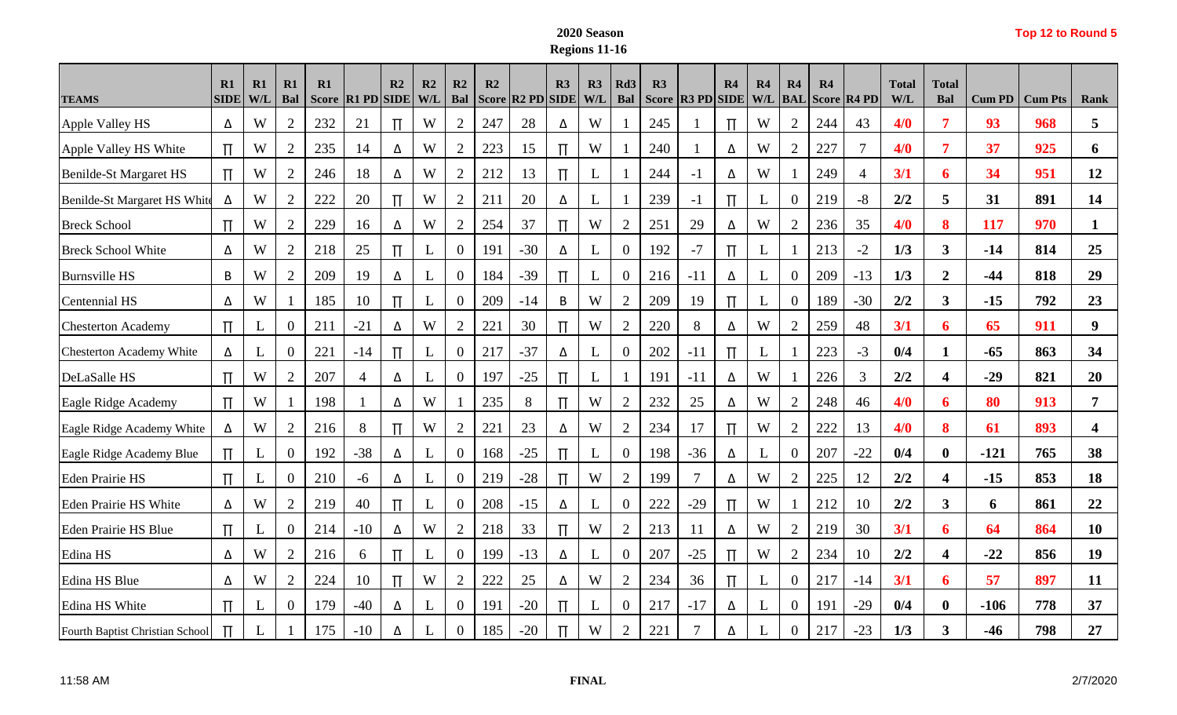## **2020 Season Regions 11-16**

|  |  | Top 12 to Round 5 |  |
|--|--|-------------------|--|
|--|--|-------------------|--|

| <b>TEAMS</b>                    | R1<br><b>SIDE</b> | R1<br>W/L | R1<br>Bal        | R1<br><b>Score</b> | <b>R1 PD SIDE</b> | R2    | R2<br>W/L    | R2<br>Bal      | R2  | Score R2 PD SIDE | R3    | R3<br>W/I | Rd <sub>3</sub><br>Bal | R3<br><b>Score</b> | <b>R3 PD SIDE</b> | R4    | R <sub>4</sub><br>W/L | R4<br><b>BAL</b> | R4  | Score R4 PD    | <b>Total</b><br>W/L | <b>Total</b><br>Bal     | <b>Cum PD</b> | <b>Cum Pts</b> | Rank             |
|---------------------------------|-------------------|-----------|------------------|--------------------|-------------------|-------|--------------|----------------|-----|------------------|-------|-----------|------------------------|--------------------|-------------------|-------|-----------------------|------------------|-----|----------------|---------------------|-------------------------|---------------|----------------|------------------|
| Apple Valley HS                 | Δ                 | W         | $\overline{2}$   | 232                | 21                | Π     | W            | 2              | 247 | 28               | Δ     | W         |                        | 245                |                   | $\Pi$ | W                     | 2                | 244 | 43             | 4/0                 | 7                       | 93            | 968            | 5                |
| Apple Valley HS White           | $\Pi$             | W         | $\overline{2}$   | 235                | 14                | Δ     | W            | $\overline{2}$ | 223 | 15               | $\Pi$ | W         |                        | 240                |                   | Δ     | W                     | 2                | 227 | $\overline{7}$ | 4/0                 | $\overline{7}$          | 37            | 925            | 6                |
| Benilde-St Margaret HS          | $\Pi$             | W         | $\overline{2}$   | 246                | 18                | Δ     | W            | $\overline{2}$ | 212 | 13               | $\Pi$ | L         |                        | 244                | $-1$              | Δ     | W                     |                  | 249 | $\overline{4}$ | 3/1                 | 6                       | 34            | 951            | 12               |
| Benilde-St Margaret HS White    | Δ                 | W         | 2                | 222                | 20                | $\Pi$ | W            | $\mathbf{2}$   | 211 | 20               | Δ     | L         |                        | 239                | $-1$              | $\Pi$ | L                     | $\overline{0}$   | 219 | $-8$           | 2/2                 | 5                       | 31            | 891            | 14               |
| <b>Breck School</b>             | $\Pi$             | W         | $\mathbf{2}$     | 229                | 16                | Δ     | W            | $\mathbf{2}$   | 254 | 37               | $\Pi$ | W         | $\overline{2}$         | 251                | 29                | Δ     | W                     | $\overline{2}$   | 236 | 35             | 4/0                 | 8                       | 117           | 970            | 1                |
| <b>Breck School White</b>       | Δ                 | W         | $\overline{2}$   | 218                | 25                | $\Pi$ | L            | $\overline{0}$ | 191 | $-30$            | Δ     | L         | $\theta$               | 192                | $-7$              | $\Pi$ | L                     |                  | 213 | $-2$           | 1/3                 | $\mathbf{3}$            | $-14$         | 814            | 25               |
| <b>Burnsville HS</b>            | В                 | W         | 2                | 209                | 19                | Δ     | L            | $\overline{0}$ | 184 | $-39$            | $\Pi$ | L         | $\overline{0}$         | 216                | $-11$             | Δ     | L                     | $\overline{0}$   | 209 | $-13$          | 1/3                 | $\boldsymbol{2}$        | $-44$         | 818            | 29               |
| Centennial HS                   | Δ                 | W         |                  | 185                | 10                | $\Pi$ | L            | $\overline{0}$ | 209 | $-14$            | B     | W         | $\overline{2}$         | 209                | 19                | $\Pi$ | L                     | $\mathbf{0}$     | 189 | $-30$          | 2/2                 | 3 <sup>1</sup>          | $-15$         | 792            | 23               |
| <b>Chesterton Academy</b>       | $\mathbb{H}$      | L         | $\boldsymbol{0}$ | 211                | $-21$             | Δ     | W            | $\overline{2}$ | 221 | 30               | $\Pi$ | W         | $\overline{2}$         | 220                | 8                 | Δ     | W                     | $\overline{2}$   | 259 | 48             | 3/1                 | 6                       | 65            | 911            | 9                |
| <b>Chesterton Academy White</b> | Δ                 | L         | $\boldsymbol{0}$ | 221                | $-14$             | $\Pi$ | L            | $\overline{0}$ | 217 | $-37$            | Δ     | L         | $\theta$               | 202                | $-11$             | $\Pi$ | L                     |                  | 223 | $-3$           | 0/4                 | 1                       | $-65$         | 863            | 34               |
| DeLaSalle HS                    | $\Pi$             | W         | 2                | 207                | $\overline{4}$    | Δ     | L            | $\overline{0}$ | 197 | $-25$            | $\Pi$ | L         |                        | 191                | $-11$             | Δ     | W                     |                  | 226 | 3              | 2/2                 | $\overline{\mathbf{4}}$ | $-29$         | 821            | 20               |
| Eagle Ridge Academy             | $\Pi$             | W         |                  | 198                |                   | Δ     | W            |                | 235 | 8                | $\Pi$ | W         | $\overline{2}$         | 232                | 25                | Δ     | W                     | 2                | 248 | 46             | 4/0                 | 6                       | 80            | 913            | $\overline{7}$   |
| Eagle Ridge Academy White       | Δ                 | W         | $\overline{2}$   | 216                | 8                 | Π     | W            | $\overline{2}$ | 221 | 23               | Δ     | W         | $\overline{2}$         | 234                | 17                | $\Pi$ | W                     | 2                | 222 | 13             | 4/0                 | 8                       | 61            | 893            | $\boldsymbol{4}$ |
| Eagle Ridge Academy Blue        | $\Pi$             | L         | $\boldsymbol{0}$ | 192                | $-38$             | Δ     | $\mathbf{L}$ | $\overline{0}$ | 168 | $-25$            | $\Pi$ | L         | $\overline{0}$         | 198                | $-36$             | Δ     | L                     | $\overline{0}$   | 207 | $-22$          | 0/4                 | $\bf{0}$                | $-121$        | 765            | 38               |
| <b>Eden Prairie HS</b>          | $\Pi$             | L         | $\boldsymbol{0}$ | 210                | $-6$              | Δ     | L            | $\mathbf{0}$   | 219 | $-28$            | $\Pi$ | W         | $\mathbf{2}$           | 199                | $\overline{7}$    | Δ     | W                     | 2                | 225 | 12             | 2/2                 | $\overline{\mathbf{4}}$ | $-15$         | 853            | 18               |
| <b>Eden Prairie HS White</b>    | Δ                 | W         | 2                | 219                | 40                | $\Pi$ | L            | $\overline{0}$ | 208 | $-15$            | Δ     | L         | $\theta$               | 222                | $-29$             | Π     | W                     |                  | 212 | 10             | 2/2                 | $3^{\circ}$             | 6             | 861            | 22               |
| <b>Eden Prairie HS Blue</b>     | $\Pi$             | L         | $\overline{0}$   | 214                | $-10$             | Δ     | W            | $\overline{2}$ | 218 | 33               | $\Pi$ | W         | $\overline{2}$         | 213                | 11                | Δ     | W                     | 2                | 219 | 30             | 3/1                 | 6                       | 64            | 864            | <b>10</b>        |
| Edina HS                        | Δ                 | W         | $\overline{2}$   | 216                | 6                 | Π     | L            | $\overline{0}$ | 199 | $-13$            | Δ     | L         | $\theta$               | 207                | $-25$             | $\Pi$ | W                     | 2                | 234 | 10             | 2/2                 | 4                       | $-22$         | 856            | 19               |
| Edina HS Blue                   | Δ                 | W         | $\overline{2}$   | 224                | 10                | $\Pi$ | W            | $\overline{2}$ | 222 | 25               | Δ     | W         | $\overline{2}$         | 234                | 36                | $\Pi$ | $\mathbf{L}$          | $\overline{0}$   | 217 | $-14$          | 3/1                 | 6                       | 57            | 897            | 11               |
| Edina HS White                  | $\mathbb{H}$      | L         | $\overline{0}$   | 179                | $-40$             | Δ     | L            | $\overline{0}$ | 191 | $-20$            | $\Pi$ | L         | $\theta$               | 217                | $-17$             | Δ     | L                     | $\overline{0}$   | 191 | $-29$          | 0/4                 | $\bf{0}$                | $-106$        | 778            | 37               |
| Fourth Baptist Christian School | $\Pi$             | L         |                  | 175                | $-10$             | Δ     | L            | $\overline{0}$ | 185 | $-20$            | $\Pi$ | W         | $\overline{2}$         | 221                | 7                 | Δ     |                       | 0                | 217 | $-23$          | 1/3                 | 3                       | $-46$         | 798            | 27               |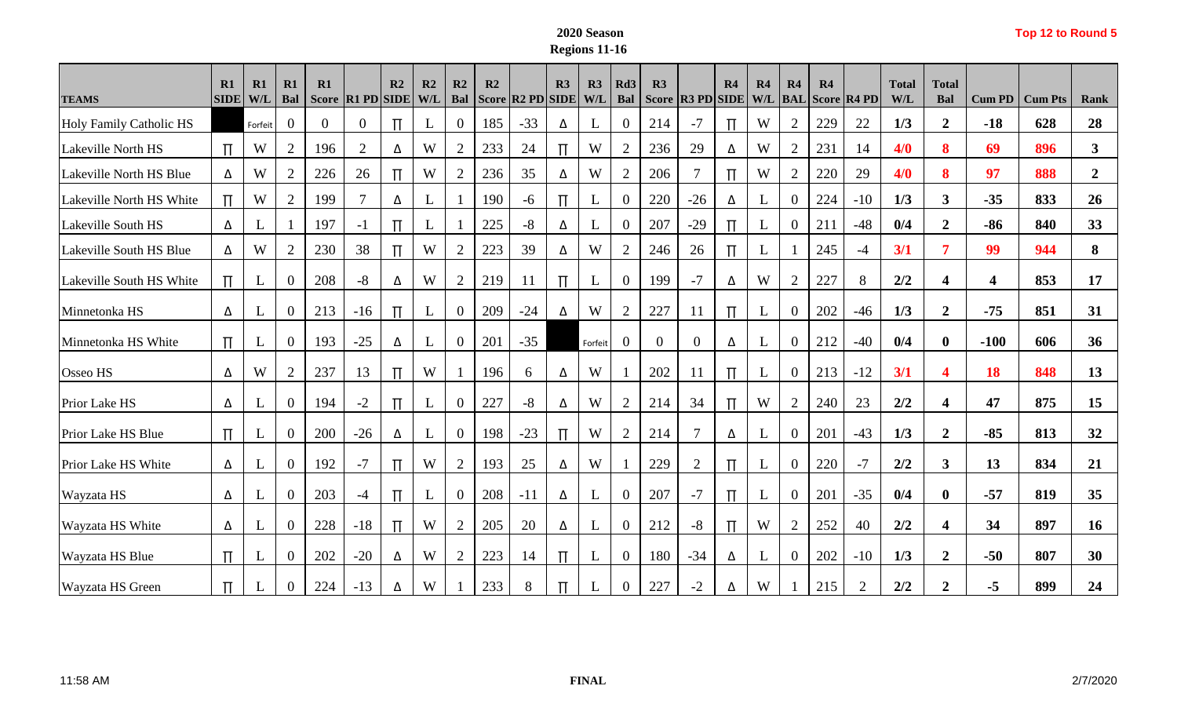## **2020 Season Regions 11-16**

|  |  | Top 12 to Round 5 |  |
|--|--|-------------------|--|
|--|--|-------------------|--|

|                                                | R1          | R1             | R1<br>Bal        | R1                       |                                         | R2           | R2 | R2                    | R2                  |                                                 | R3    | R3           | Rd <sub>3</sub> | R3                  |                       | R <sub>4</sub>   | R4           | R4               | R4  |                   | <b>Total</b> | <b>Total</b>            |                         |                       |                   |
|------------------------------------------------|-------------|----------------|------------------|--------------------------|-----------------------------------------|--------------|----|-----------------------|---------------------|-------------------------------------------------|-------|--------------|-----------------|---------------------|-----------------------|------------------|--------------|------------------|-----|-------------------|--------------|-------------------------|-------------------------|-----------------------|-------------------|
| <b>TEAMS</b><br><b>Holy Family Catholic HS</b> | <b>SIDE</b> | W/L<br>Forfeit | $\overline{0}$   | <b>Score</b><br>$\Omega$ | <b>R1 PD SIDE W/L</b><br>$\overline{0}$ |              | L  | Bal<br>$\overline{0}$ | <b>Score</b><br>185 | $\vert$ R <sub>2</sub> PD $\vert$ SIDE<br>$-33$ | Δ     | W/L<br>L     | Bal<br>$\theta$ | <b>Score</b><br>214 | $ R3$ PD SIDE<br>$-7$ | $\Pi$            | W/L<br>W     | <b>BAL</b><br>2  | 229 | Score R4 PD<br>22 | W/L<br>1/3   | Bal<br>$\overline{2}$   | <b>Cum PD</b><br>$-18$  | <b>Cum Pts</b><br>628 | <b>Rank</b><br>28 |
| Lakeville North HS                             | $\Pi$       | W              | $\overline{2}$   | 196                      | $\overline{2}$                          | Δ            | W  | $\overline{2}$        | 233                 | 24                                              | $\Pi$ | W            | $\overline{2}$  | 236                 | 29                    | Δ                | W            | 2                | 231 | 14                | 4/0          | 8                       | 69                      | 896                   | 3                 |
| Lakeville North HS Blue                        | Δ           | W              | 2                | 226                      | 26                                      |              | W  | 2                     | 236                 | 35                                              | Δ     | W            | $\overline{2}$  | 206                 | 7                     | $\Pi$            | W            | 2                | 220 | 29                | 4/0          | 8                       | 97                      | 888                   | $\overline{2}$    |
| Lakeville North HS White                       | $\Pi$       | W              | $\overline{2}$   | 199                      | 7                                       | Δ            | L  |                       | 190                 | $-6$                                            | $\Pi$ | L            | $\theta$        | 220                 | $-26$                 | Δ                | L            | $\overline{0}$   | 224 | $-10$             | 1/3          | $\mathbf{3}$            | $-35$                   | 833                   | 26                |
| <b>Lakeville South HS</b>                      | Δ           | L              |                  | 197                      | $-1$                                    |              | L  |                       | 225                 | $-8$                                            | Δ     | L            | $\mathbf{0}$    | 207                 | $-29$                 | $\Pi$            | L            | $\overline{0}$   | 211 | $-48$             | 0/4          | $\overline{2}$          | $-86$                   | 840                   | 33                |
| Lakeville South HS Blue                        | Δ           | W              | $\overline{2}$   | 230                      | 38                                      |              | W  | 2                     | 223                 | 39                                              | Δ     | W            | $\overline{2}$  | 246                 | 26                    | $\overline{\Pi}$ | L            |                  | 245 | $-4$              | 3/1          | 7                       | 99                      | 944                   | 8                 |
| Lakeville South HS White                       | $\Pi$       | L              | $\boldsymbol{0}$ | 208                      | $-8$                                    | Δ            | W  | $\overline{2}$        | 219                 | 11                                              | $\Pi$ | $\mathbf{L}$ | $\overline{0}$  | 199                 | $-7$                  | Δ                | W            | $\overline{2}$   | 227 | 8                 | 2/2          | $\overline{\mathbf{4}}$ | $\overline{\mathbf{4}}$ | 853                   | 17                |
| Minnetonka HS                                  | Δ           | L              | $\overline{0}$   | 213                      | $-16$                                   |              | L  | $\overline{0}$        | 209                 | $-24$                                           | Δ     | W            | $\overline{2}$  | 227                 | 11                    | $\Pi$            | L            | $\boldsymbol{0}$ | 202 | $-46$             | 1/3          | $\overline{2}$          | $-75$                   | 851                   | 31                |
| Minnetonka HS White                            | $\Pi$       | L              | $\overline{0}$   | 193                      | $-25$                                   | Δ            | L  | $\overline{0}$        | 201                 | $-35$                                           |       | Forfeit      | $\overline{0}$  | $\overline{0}$      | $\overline{0}$        | Δ                | $\mathbf{L}$ | $\overline{0}$   | 212 | $-40$             | 0/4          | $\bf{0}$                | $-100$                  | 606                   | 36                |
| Osseo HS                                       | Δ           | W              | $\overline{2}$   | 237                      | 13                                      |              | W  |                       | 196                 | 6                                               | Δ     | W            |                 | 202                 | 11                    | $\prod$          | L            | $\overline{0}$   | 213 | $-12$             | 3/1          | $\overline{\mathbf{4}}$ | <b>18</b>               | 848                   | 13                |
| Prior Lake HS                                  | Δ           | L              | $\overline{0}$   | 194                      | $-2$                                    |              | L  | $\overline{0}$        | 227                 | $-8$                                            | Δ     | W            | $\overline{2}$  | 214                 | 34                    | $\Pi$            | W            | $\overline{2}$   | 240 | 23                | 2/2          | $\overline{\mathbf{4}}$ | 47                      | 875                   | 15                |
| Prior Lake HS Blue                             | $\Pi$       | L              | $\mathbf{0}$     | 200                      | $-26$                                   | Δ            | L  | $\overline{0}$        | 198                 | $-23$                                           | $\Pi$ | W            | $\overline{2}$  | 214                 | $\overline{7}$        | Δ                | L            | $\overline{0}$   | 201 | $-43$             | 1/3          | $\overline{2}$          | $-85$                   | 813                   | 32                |
| Prior Lake HS White                            | Δ           | L              | $\mathbf{0}$     | 192                      | $-7$                                    |              | W  | 2                     | 193                 | 25                                              | Δ     | W            |                 | 229                 | $\overline{2}$        | $\Pi$            | L            | $\overline{0}$   | 220 | $-7$              | 2/2          | 3 <sup>1</sup>          | 13                      | 834                   | 21                |
| Wayzata HS                                     | Δ           | L              | $\boldsymbol{0}$ | 203                      | $-4$                                    |              | L  | $\overline{0}$        | 208                 | $-11$                                           | Δ     | L            | $\overline{0}$  | 207                 | $-7$                  | $\Pi$            | L            | $\overline{0}$   | 201 | $-35$             | 0/4          | $\bf{0}$                | $-57$                   | 819                   | 35                |
| Wayzata HS White                               | Δ           | L              | $\mathbf{0}$     | 228                      | $-18$                                   | $\mathbb{H}$ | W  | $\overline{2}$        | 205                 | 20                                              | Δ     | L            | $\overline{0}$  | 212                 | $-8$                  | $\Pi$            | W            | 2                | 252 | 40                | 2/2          | $\overline{\mathbf{4}}$ | 34                      | 897                   | 16                |
| <b>Wayzata HS Blue</b>                         | $\Pi$       | L              | $\overline{0}$   | 202                      | $-20$                                   | Δ            | W  | 2                     | 223                 | 14                                              | $\Pi$ | L            | $\overline{0}$  | 180                 | $-34$                 | Δ                | L            | $\overline{0}$   | 202 | $-10$             | 1/3          | $\boldsymbol{2}$        | $-50$                   | 807                   | 30                |
| <b>Wayzata HS Green</b>                        | $\Pi$       | L              | $\overline{0}$   | 224                      | $-13$                                   | Δ            | W  |                       | 233                 | 8                                               | $\Pi$ | L            | $\overline{0}$  | 227                 | $-2$                  | Δ                | W            |                  | 215 | $\overline{2}$    | 2/2          | $\boldsymbol{2}$        | $-5$                    | 899                   | 24                |